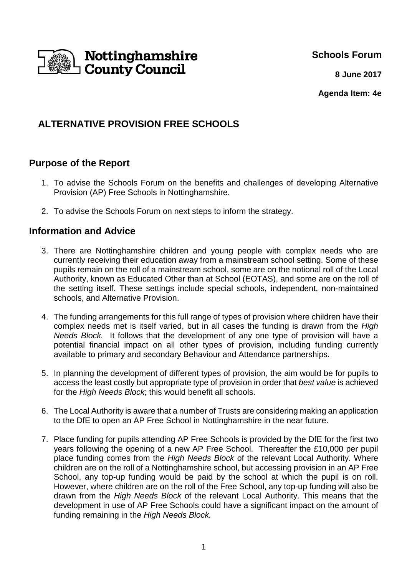

**Schools Forum**

**8 June 2017**

**Agenda Item: 4e**

# **ALTERNATIVE PROVISION FREE SCHOOLS**

## **Purpose of the Report**

- 1. To advise the Schools Forum on the benefits and challenges of developing Alternative Provision (AP) Free Schools in Nottinghamshire.
- 2. To advise the Schools Forum on next steps to inform the strategy.

### **Information and Advice**

- 3. There are Nottinghamshire children and young people with complex needs who are currently receiving their education away from a mainstream school setting. Some of these pupils remain on the roll of a mainstream school, some are on the notional roll of the Local Authority, known as Educated Other than at School (EOTAS), and some are on the roll of the setting itself. These settings include special schools, independent, non-maintained schools, and Alternative Provision.
- 4. The funding arrangements for this full range of types of provision where children have their complex needs met is itself varied, but in all cases the funding is drawn from the High Needs Block. It follows that the development of any one type of provision will have a potential financial impact on all other types of provision, including funding currently available to primary and secondary Behaviour and Attendance partnerships.
- 5. In planning the development of different types of provision, the aim would be for pupils to access the least costly but appropriate type of provision in order that best value is achieved for the High Needs Block; this would benefit all schools.
- 6. The Local Authority is aware that a number of Trusts are considering making an application to the DfE to open an AP Free School in Nottinghamshire in the near future.
- 7. Place funding for pupils attending AP Free Schools is provided by the DfE for the first two years following the opening of a new AP Free School. Thereafter the £10,000 per pupil place funding comes from the High Needs Block of the relevant Local Authority. Where children are on the roll of a Nottinghamshire school, but accessing provision in an AP Free School, any top-up funding would be paid by the school at which the pupil is on roll. However, where children are on the roll of the Free School, any top-up funding will also be drawn from the High Needs Block of the relevant Local Authority. This means that the development in use of AP Free Schools could have a significant impact on the amount of funding remaining in the High Needs Block.